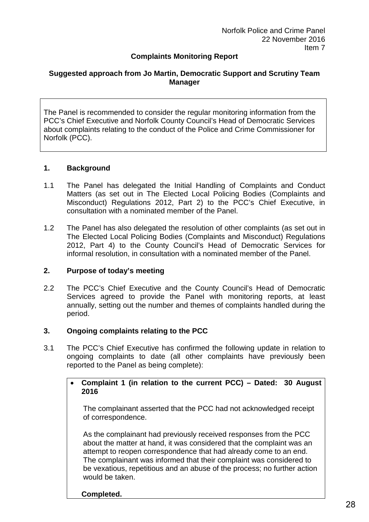# **Complaints Monitoring Report**

### **Suggested approach from Jo Martin, Democratic Support and Scrutiny Team Manager**

The Panel is recommended to consider the regular monitoring information from the PCC's Chief Executive and Norfolk County Council's Head of Democratic Services about complaints relating to the conduct of the Police and Crime Commissioner for Norfolk (PCC).

#### **1. Background**

- 1.1 The Panel has delegated the Initial Handling of Complaints and Conduct Matters (as set out in The Elected Local Policing Bodies (Complaints and Misconduct) Regulations 2012, Part 2) to the PCC's Chief Executive, in consultation with a nominated member of the Panel.
- 1.2 The Panel has also delegated the resolution of other complaints (as set out in The Elected Local Policing Bodies (Complaints and Misconduct) Regulations 2012, Part 4) to the County Council's Head of Democratic Services for informal resolution, in consultation with a nominated member of the Panel.

#### **2. Purpose of today's meeting**

2.2 The PCC's Chief Executive and the County Council's Head of Democratic Services agreed to provide the Panel with monitoring reports, at least annually, setting out the number and themes of complaints handled during the period.

#### **3. Ongoing complaints relating to the PCC**

3.1 The PCC's Chief Executive has confirmed the following update in relation to ongoing complaints to date (all other complaints have previously been reported to the Panel as being complete):

### • **Complaint 1 (in relation to the current PCC) – Dated: 30 August 2016**

The complainant asserted that the PCC had not acknowledged receipt of correspondence.

As the complainant had previously received responses from the PCC about the matter at hand, it was considered that the complaint was an attempt to reopen correspondence that had already come to an end. The complainant was informed that their complaint was considered to be vexatious, repetitious and an abuse of the process; no further action would be taken.

#### **Completed.**